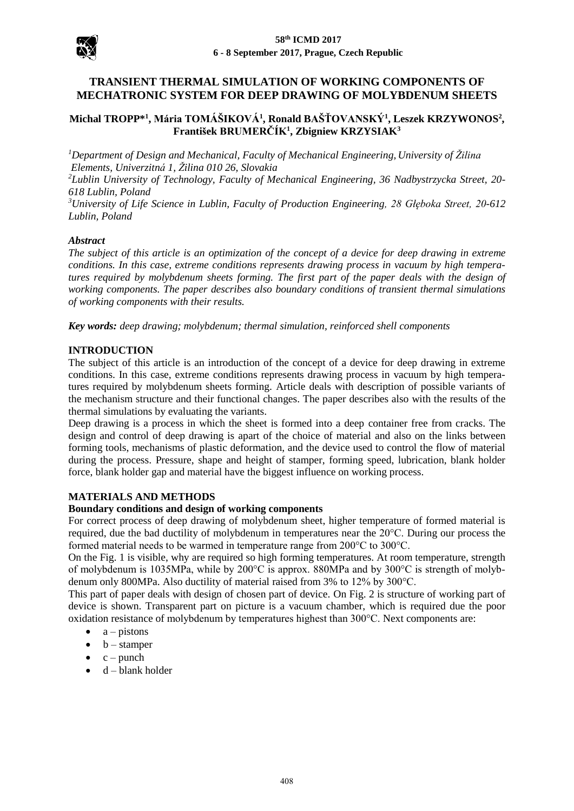

# **TRANSIENT THERMAL SIMULATION OF WORKING COMPONENTS OF MECHATRONIC SYSTEM FOR DEEP DRAWING OF MOLYBDENUM SHEETS**

# **Michal TROPP\*<sup>1</sup> , Mária TOMÁŠIKOVÁ<sup>1</sup> , Ronald BAŠŤOVANSKÝ<sup>1</sup> , Leszek KRZYWONOS<sup>2</sup> , František BRUMERČÍK<sup>1</sup> , Zbigniew KRZYSIAK<sup>3</sup>**

*<sup>1</sup>Department of Design and Mechanical, Faculty of Mechanical Engineering, University of Žilina Elements, Univerzitná 1, Žilina 010 26, Slovakia*

*<sup>2</sup>Lublin University of Technology, Faculty of Mechanical Engineering, 36 Nadbystrzycka Street, 20- 618 Lublin, Poland*

*<sup>3</sup>University of Life Science in Lublin, Faculty of Production Engineering, 28 Głęboka Street, 20-612 Lublin, Poland*

### *Abstract*

*The subject of this article is an optimization of the concept of a device for deep drawing in extreme conditions. In this case, extreme conditions represents drawing process in vacuum by high temperatures required by molybdenum sheets forming. The first part of the paper deals with the design of working components. The paper describes also boundary conditions of transient thermal simulations of working components with their results.*

*Key words: deep drawing; molybdenum; thermal simulation, reinforced shell components*

#### **INTRODUCTION**

The subject of this article is an introduction of the concept of a device for deep drawing in extreme conditions. In this case, extreme conditions represents drawing process in vacuum by high temperatures required by molybdenum sheets forming. Article deals with description of possible variants of the mechanism structure and their functional changes. The paper describes also with the results of the thermal simulations by evaluating the variants.

Deep drawing is a process in which the sheet is formed into a deep container free from cracks. The design and control of deep drawing is apart of the choice of material and also on the links between forming tools, mechanisms of plastic deformation, and the device used to control the flow of material during the process. Pressure, shape and height of stamper, forming speed, lubrication, blank holder force, blank holder gap and material have the biggest influence on working process.

### **MATERIALS AND METHODS**

#### **Boundary conditions and design of working components**

For correct process of deep drawing of molybdenum sheet, higher temperature of formed material is required, due the bad ductility of molybdenum in temperatures near the 20°C. During our process the formed material needs to be warmed in temperature range from 200°C to 300°C.

On the Fig. 1 is visible, why are required so high forming temperatures. At room temperature, strength of molybdenum is 1035MPa, while by 200 $^{\circ}$ C is approx. 880MPa and by 300 $^{\circ}$ C is strength of molybdenum only 800MPa. Also ductility of material raised from 3% to 12% by 300°C.

This part of paper deals with design of chosen part of device. On Fig. 2 is structure of working part of device is shown. Transparent part on picture is a vacuum chamber, which is required due the poor oxidation resistance of molybdenum by temperatures highest than 300°C. Next components are:

- $\bullet$  a pistons
- $\bullet$  b stamper
- $\bullet$  c punch
- $\bullet$  d blank holder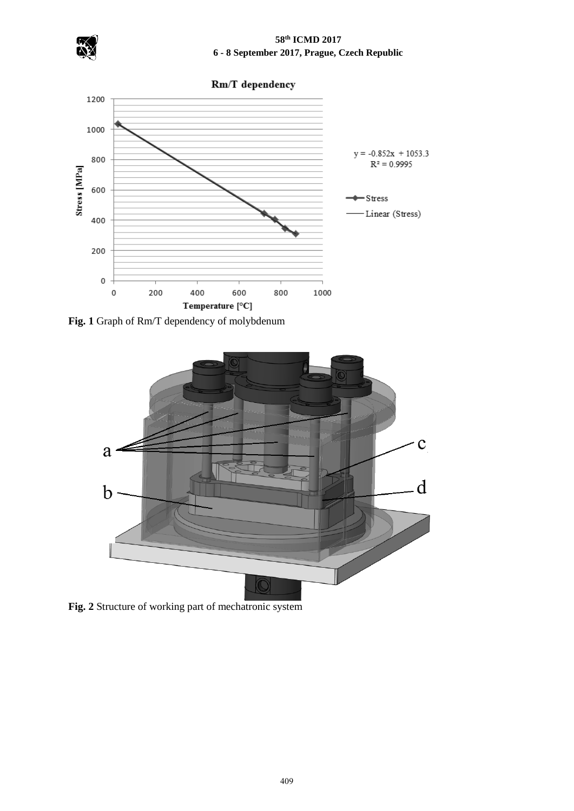

# **58th ICMD 2017 6 - 8 September 2017, Prague, Czech Republic**

Rm/T dependency 1200 1000  $y = -0.852x + 1053.3$ 800  $R^2 = 0.9995$ Stress [MPa] 600  $-$  Stress Linear (Stress) 400 200  $\mathbf 0$ 600  $\pmb{0}$ 200 400 800 1000 Temperature [°C]

**Fig. 1** Graph of Rm/T dependency of molybdenum



**Fig. 2** Structure of working part of mechatronic system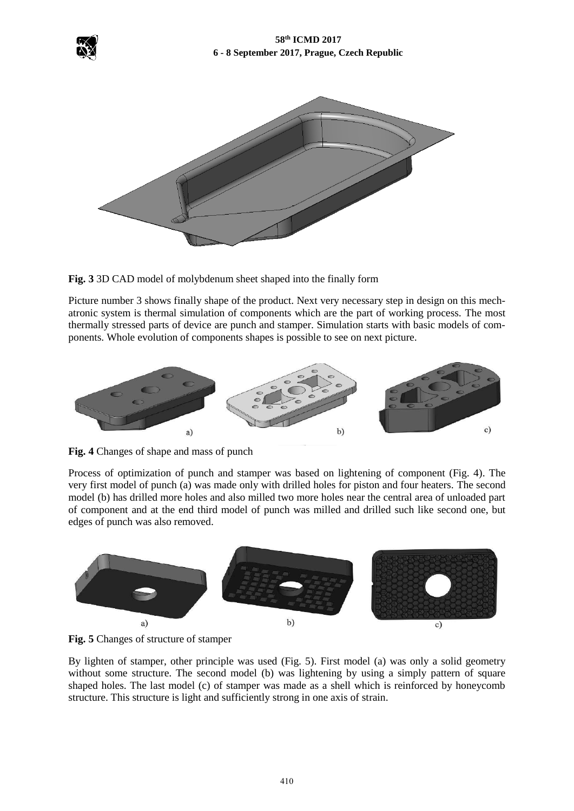



**Fig. 3** 3D CAD model of molybdenum sheet shaped into the finally form

Picture number 3 shows finally shape of the product. Next very necessary step in design on this mechatronic system is thermal simulation of components which are the part of working process. The most thermally stressed parts of device are punch and stamper. Simulation starts with basic models of components. Whole evolution of components shapes is possible to see on next picture.



**Fig. 4** Changes of shape and mass of punch

Process of optimization of punch and stamper was based on lightening of component (Fig. 4). The very first model of punch (a) was made only with drilled holes for piston and four heaters. The second model (b) has drilled more holes and also milled two more holes near the central area of unloaded part of component and at the end third model of punch was milled and drilled such like second one, but edges of punch was also removed.



**Fig. 5** Changes of structure of stamper

By lighten of stamper, other principle was used (Fig. 5). First model (a) was only a solid geometry without some structure. The second model (b) was lightening by using a simply pattern of square shaped holes. The last model (c) of stamper was made as a shell which is reinforced by honeycomb structure. This structure is light and sufficiently strong in one axis of strain.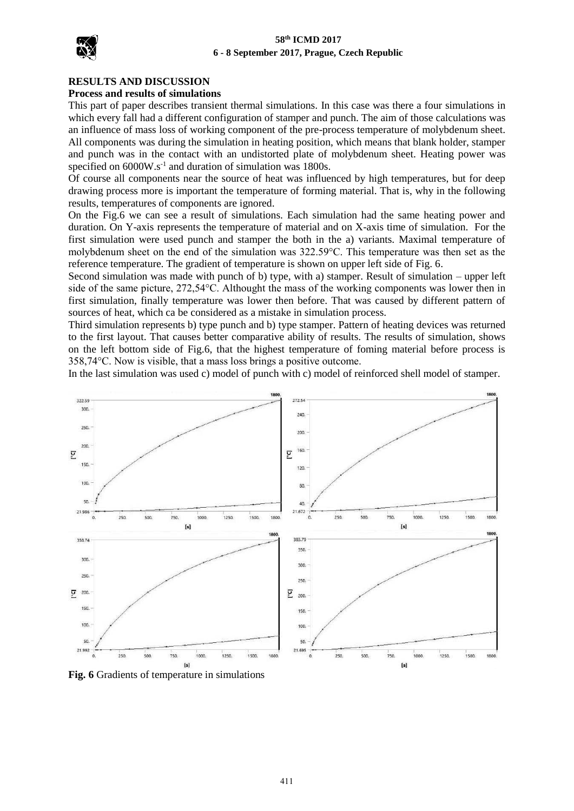### **58th ICMD 2017 6 - 8 September 2017, Prague, Czech Republic**



#### **RESULTS AND DISCUSSION**

#### **Process and results of simulations**

This part of paper describes transient thermal simulations. In this case was there a four simulations in which every fall had a different configuration of stamper and punch. The aim of those calculations was an influence of mass loss of working component of the pre-process temperature of molybdenum sheet. All components was during the simulation in heating position, which means that blank holder, stamper and punch was in the contact with an undistorted plate of molybdenum sheet. Heating power was specified on  $6000W.s^{-1}$  and duration of simulation was 1800s.

Of course all components near the source of heat was influenced by high temperatures, but for deep drawing process more is important the temperature of forming material. That is, why in the following results, temperatures of components are ignored.

On the Fig.6 we can see a result of simulations. Each simulation had the same heating power and duration. On Y-axis represents the temperature of material and on X-axis time of simulation. For the first simulation were used punch and stamper the both in the a) variants. Maximal temperature of molybdenum sheet on the end of the simulation was 322.59°C. This temperature was then set as the reference temperature. The gradient of temperature is shown on upper left side of Fig. 6.

Second simulation was made with punch of b) type, with a) stamper. Result of simulation – upper left side of the same picture, 272,54°C. Althought the mass of the working components was lower then in first simulation, finally temperature was lower then before. That was caused by different pattern of sources of heat, which ca be considered as a mistake in simulation process.

Third simulation represents b) type punch and b) type stamper. Pattern of heating devices was returned to the first layout. That causes better comparative ability of results. The results of simulation, shows on the left bottom side of Fig.6, that the highest temperature of foming material before process is 358,74°C. Now is visible, that a mass loss brings a positive outcome.

In the last simulation was used c) model of punch with c) model of reinforced shell model of stamper.



**Fig. 6** Gradients of temperature in simulations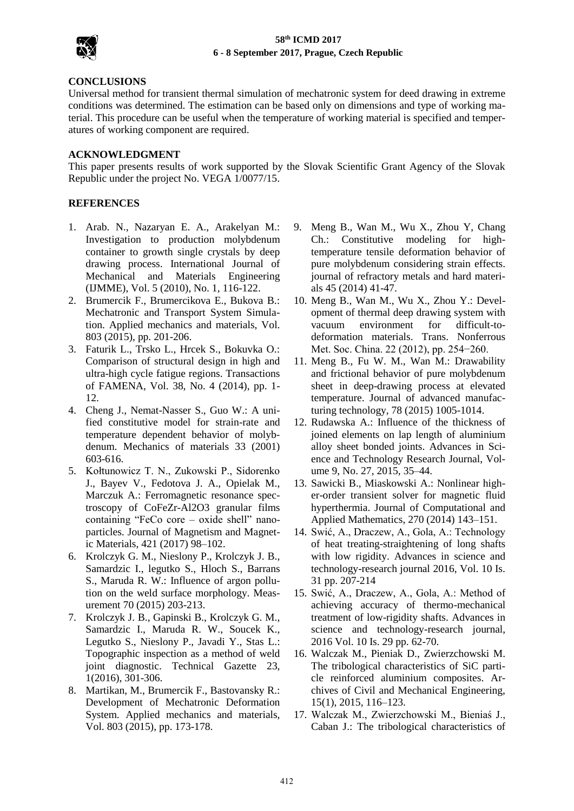

## **58th ICMD 2017 6 - 8 September 2017, Prague, Czech Republic**

### **CONCLUSIONS**

Universal method for transient thermal simulation of mechatronic system for deed drawing in extreme conditions was determined. The estimation can be based only on dimensions and type of working material. This procedure can be useful when the temperature of working material is specified and temperatures of working component are required.

## **ACKNOWLEDGMENT**

This paper presents results of work supported by the Slovak Scientific Grant Agency of the Slovak Republic under the project No. VEGA 1/0077/15.

# **REFERENCES**

- 1. Arab. N., Nazaryan E. A., Arakelyan M.: Investigation to production molybdenum container to growth single crystals by deep drawing process. International Journal of Mechanical and Materials Engineering (IJMME), Vol. 5 (2010), No. 1, 116-122.
- 2. Brumercik F., Brumercikova E., Bukova B.: Mechatronic and Transport System Simulation. Applied mechanics and materials, Vol. 803 (2015), pp. 201-206.
- 3. Faturik L., Trsko L., Hrcek S., Bokuvka O.: Comparison of structural design in high and ultra-high cycle fatigue regions. Transactions of FAMENA, Vol. 38, No. 4 (2014), pp. 1- 12.
- 4. Cheng J., Nemat-Nasser S., Guo W.: A unified constitutive model for strain-rate and temperature dependent behavior of molybdenum. Mechanics of materials 33 (2001) 603-616.
- 5. Kołtunowicz T. N., Zukowski P., Sidorenko J., Bayev V., Fedotova J. A., Opielak M., Marczuk A.: Ferromagnetic resonance spectroscopy of CoFeZr-Al2O3 granular films containing "FeCo core – oxide shell" nanoparticles. Journal of Magnetism and Magnetic Materials, 421 (2017) 98–102.
- 6. Krolczyk G. M., Nieslony P., Krolczyk J. B., Samardzic I., legutko S., Hloch S., Barrans S., Maruda R. W.: Influence of argon pollution on the weld surface morphology. Measurement 70 (2015) 203-213.
- 7. Krolczyk J. B., Gapinski B., Krolczyk G. M., Samardzic I., Maruda R. W., Soucek K., Legutko S., Nieslony P., Javadi Y., Stas L.: Topographic inspection as a method of weld joint diagnostic. Technical Gazette 23, 1(2016), 301-306.
- 8. Martikan, M., Brumercik F., Bastovansky R.: Development of Mechatronic Deformation System. Applied mechanics and materials, Vol. 803 (2015), pp. 173-178.
- 9. Meng B., Wan M., Wu X., Zhou Y, Chang Ch.: Constitutive modeling for hightemperature tensile deformation behavior of pure molybdenum considering strain effects. journal of refractory metals and hard materials 45 (2014) 41-47.
- 10. Meng B., Wan M., Wu X., Zhou Y.: Development of thermal deep drawing system with vacuum environment for difficult-todeformation materials. Trans. Nonferrous Met. Soc. China. 22 (2012), pp. 254−260.
- 11. Meng B., Fu W. M., Wan M.: Drawability and frictional behavior of pure molybdenum sheet in deep-drawing process at elevated temperature. Journal of advanced manufacturing technology, 78 (2015) 1005-1014.
- 12. Rudawska A.: Influence of the thickness of joined elements on lap length of aluminium alloy sheet bonded joints. Advances in Science and Technology Research Journal, Volume 9, No. 27, 2015, 35–44.
- 13. Sawicki B., Miaskowski A.: Nonlinear higher-order transient solver for magnetic fluid hyperthermia. Journal of Computational and Applied Mathematics, 270 (2014) 143–151.
- 14. Swić, A., Draczew, A., Gola, A.: Technology of heat treating-straightening of long shafts with low rigidity. Advances in science and technology-research journal 2016, Vol. 10 Is. 31 pp. 207-214
- 15. Swić, A., Draczew, A., Gola, A.: Method of achieving accuracy of thermo-mechanical treatment of low-rigidity shafts. Advances in science and technology-research journal, 2016 Vol. 10 Is. 29 pp. 62-70.
- 16. Walczak M., Pieniak D., Zwierzchowski M. The tribological characteristics of SiC particle reinforced aluminium composites. Archives of Civil and Mechanical Engineering, 15(1), 2015, 116–123.
- 17. Walczak M., Zwierzchowski M., Bieniaś J., Caban J.: The tribological characteristics of